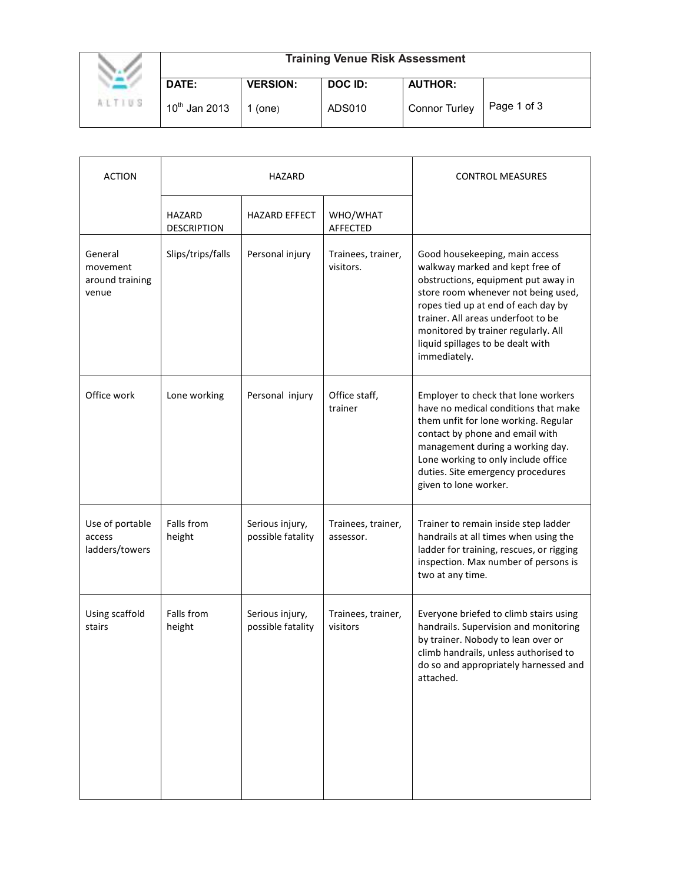|               | <b>Training Venue Risk Assessment</b> |                 |         |                      |             |  |
|---------------|---------------------------------------|-----------------|---------|----------------------|-------------|--|
|               | DATE:                                 | <b>VERSION:</b> | DOC ID: | <b>AUTHOR:</b>       |             |  |
| <b>ALTIUS</b> | $10^{th}$ Jan 2013                    | (one)           | ADS010  | <b>Connor Turley</b> | Page 1 of 3 |  |

| <b>ACTION</b>                                   | HAZARD                       |                                      |                                 | <b>CONTROL MEASURES</b>                                                                                                                                                                                                                                                                                                  |
|-------------------------------------------------|------------------------------|--------------------------------------|---------------------------------|--------------------------------------------------------------------------------------------------------------------------------------------------------------------------------------------------------------------------------------------------------------------------------------------------------------------------|
|                                                 | HAZARD<br><b>DESCRIPTION</b> | <b>HAZARD EFFECT</b>                 | WHO/WHAT<br><b>AFFECTED</b>     |                                                                                                                                                                                                                                                                                                                          |
| General<br>movement<br>around training<br>venue | Slips/trips/falls            | Personal injury                      | Trainees, trainer,<br>visitors. | Good housekeeping, main access<br>walkway marked and kept free of<br>obstructions, equipment put away in<br>store room whenever not being used,<br>ropes tied up at end of each day by<br>trainer. All areas underfoot to be<br>monitored by trainer regularly. All<br>liquid spillages to be dealt with<br>immediately. |
| Office work                                     | Lone working                 | Personal injury                      | Office staff,<br>trainer        | Employer to check that lone workers<br>have no medical conditions that make<br>them unfit for lone working. Regular<br>contact by phone and email with<br>management during a working day.<br>Lone working to only include office<br>duties. Site emergency procedures<br>given to lone worker.                          |
| Use of portable<br>access<br>ladders/towers     | Falls from<br>height         | Serious injury,<br>possible fatality | Trainees, trainer,<br>assessor. | Trainer to remain inside step ladder<br>handrails at all times when using the<br>ladder for training, rescues, or rigging<br>inspection. Max number of persons is<br>two at any time.                                                                                                                                    |
| Using scaffold<br>stairs                        | Falls from<br>height         | Serious injury,<br>possible fatality | Trainees, trainer,<br>visitors  | Everyone briefed to climb stairs using<br>handrails. Supervision and monitoring<br>by trainer. Nobody to lean over or<br>climb handrails, unless authorised to<br>do so and appropriately harnessed and<br>attached.                                                                                                     |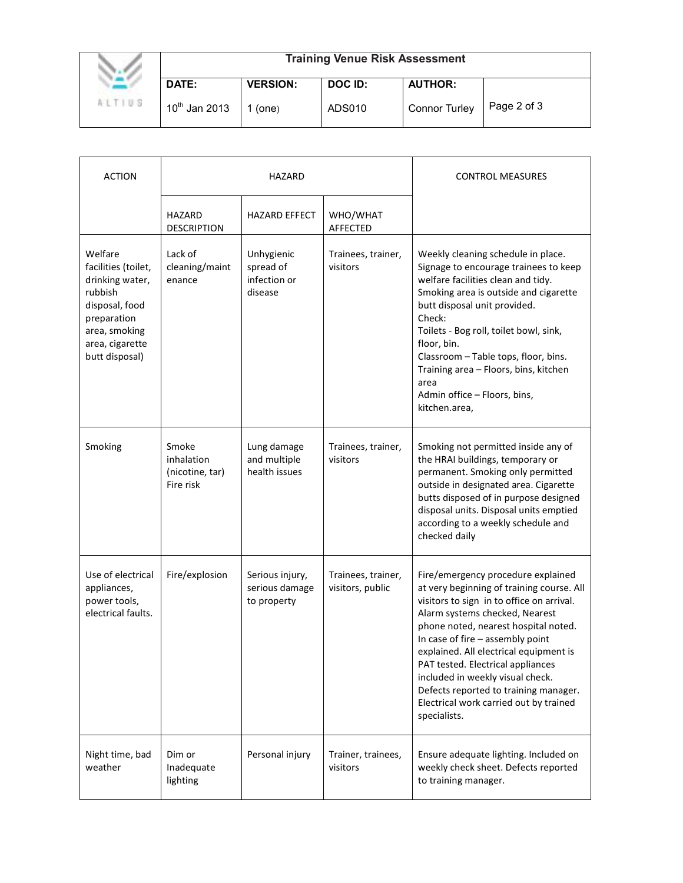|               | <b>Training Venue Risk Assessment</b> |                 |         |                      |             |  |
|---------------|---------------------------------------|-----------------|---------|----------------------|-------------|--|
|               | DATE:                                 | <b>VERSION:</b> | DOC ID: | <b>AUTHOR:</b>       |             |  |
| <b>ALTIUS</b> | $10^{th}$ Jan 2013                    | (one)           | ADS010  | <b>Connor Turley</b> | Page 2 of 3 |  |

| <b>ACTION</b>                                                                                                                                       | <b>HAZARD</b>                                       |                                                    |                                        | <b>CONTROL MEASURES</b>                                                                                                                                                                                                                                                                                                                                                                                                                                          |
|-----------------------------------------------------------------------------------------------------------------------------------------------------|-----------------------------------------------------|----------------------------------------------------|----------------------------------------|------------------------------------------------------------------------------------------------------------------------------------------------------------------------------------------------------------------------------------------------------------------------------------------------------------------------------------------------------------------------------------------------------------------------------------------------------------------|
|                                                                                                                                                     | HAZARD<br><b>DESCRIPTION</b>                        | <b>HAZARD EFFECT</b>                               | WHO/WHAT<br><b>AFFECTED</b>            |                                                                                                                                                                                                                                                                                                                                                                                                                                                                  |
| Welfare<br>facilities (toilet,<br>drinking water,<br>rubbish<br>disposal, food<br>preparation<br>area, smoking<br>area, cigarette<br>butt disposal) | Lack of<br>cleaning/maint<br>enance                 | Unhygienic<br>spread of<br>infection or<br>disease | Trainees, trainer,<br>visitors         | Weekly cleaning schedule in place.<br>Signage to encourage trainees to keep<br>welfare facilities clean and tidy.<br>Smoking area is outside and cigarette<br>butt disposal unit provided.<br>Check:<br>Toilets - Bog roll, toilet bowl, sink,<br>floor, bin.<br>Classroom - Table tops, floor, bins.<br>Training area - Floors, bins, kitchen<br>area<br>Admin office - Floors, bins,<br>kitchen.area,                                                          |
| Smoking                                                                                                                                             | Smoke<br>inhalation<br>(nicotine, tar)<br>Fire risk | Lung damage<br>and multiple<br>health issues       | Trainees, trainer,<br>visitors         | Smoking not permitted inside any of<br>the HRAI buildings, temporary or<br>permanent. Smoking only permitted<br>outside in designated area. Cigarette<br>butts disposed of in purpose designed<br>disposal units. Disposal units emptied<br>according to a weekly schedule and<br>checked daily                                                                                                                                                                  |
| Use of electrical<br>appliances,<br>power tools,<br>electrical faults.                                                                              | Fire/explosion                                      | Serious injury,<br>serious damage<br>to property   | Trainees, trainer,<br>visitors, public | Fire/emergency procedure explained<br>at very beginning of training course. All<br>visitors to sign in to office on arrival.<br>Alarm systems checked, Nearest<br>phone noted, nearest hospital noted.<br>In case of fire - assembly point<br>explained. All electrical equipment is<br>PAT tested. Electrical appliances<br>included in weekly visual check.<br>Defects reported to training manager.<br>Electrical work carried out by trained<br>specialists. |
| Night time, bad<br>weather                                                                                                                          | Dim or<br>Inadequate<br>lighting                    | Personal injury                                    | Trainer, trainees,<br>visitors         | Ensure adequate lighting. Included on<br>weekly check sheet. Defects reported<br>to training manager.                                                                                                                                                                                                                                                                                                                                                            |